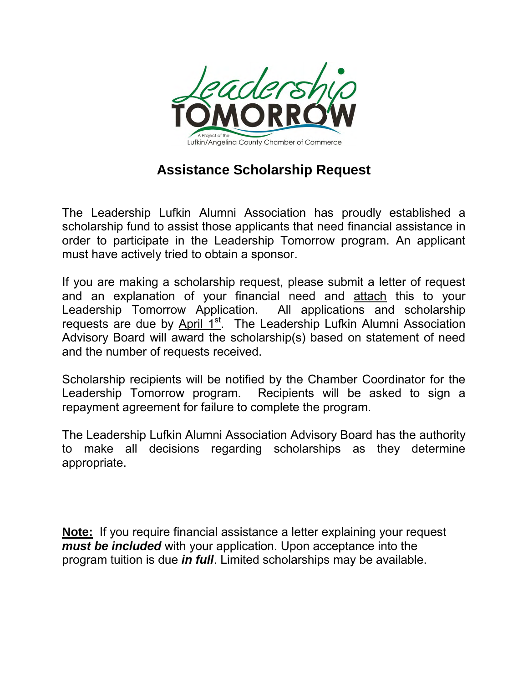

## **Assistance Scholarship Request**

The Leadership Lufkin Alumni Association has proudly established a scholarship fund to assist those applicants that need financial assistance in order to participate in the Leadership Tomorrow program. An applicant must have actively tried to obtain a sponsor.

If you are making a scholarship request, please submit a letter of request and an explanation of your financial need and attach this to your Leadership Tomorrow Application. All applications and scholarship requests are due by April 1<sup>st</sup>. The Leadership Lufkin Alumni Association Advisory Board will award the scholarship(s) based on statement of need and the number of requests received.

Scholarship recipients will be notified by the Chamber Coordinator for the Leadership Tomorrow program. Recipients will be asked to sign a repayment agreement for failure to complete the program.

The Leadership Lufkin Alumni Association Advisory Board has the authority to make all decisions regarding scholarships as they determine appropriate.

**Note:** If you require financial assistance a letter explaining your request *must be included* with your application. Upon acceptance into the program tuition is due *in full*. Limited scholarships may be available.